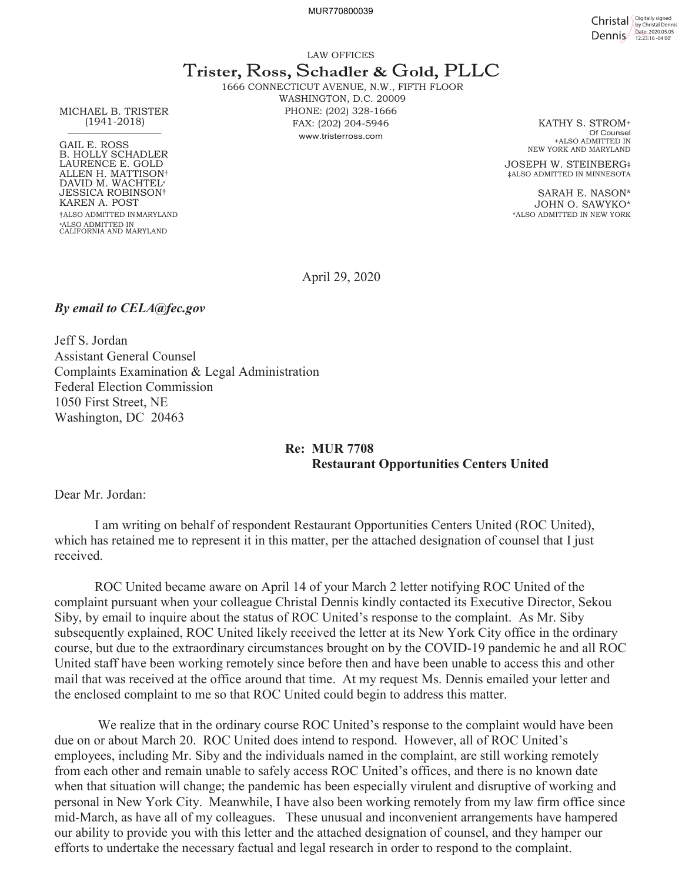MUR770800039

Christal **Digitally signed** Dennis <sup>Date: 2020.05.05</sup>

LAW OFFICES

## T**rister,** R**oss,** S**chadler &** G**old,** PLLC

1666 CONNECTICUT AVENUE, N.W., FIFTH FLOOR WASHINGTON, D.C. 20009 PHONE: (202) 328-1666 FAX: (202) 204-5946 www.tristerross.com

KATHY S. STROM+ Of Counsel +ALSO ADMITTED IN NEW YORK AND MARYLAND

JOSEPH W. STEINBERG‡ ‡ALSO ADMITTED IN MINNESOTA

SARAH E. NASON\* JOHN O. SAWYKO\* \*ALSO ADMITTED IN NEW YORK

MICHAEL B. TRISTER (1941-2018)  $\frac{1}{\sqrt{2}}$ 

GAIL E. ROSS B. HOLLY SCHADLER LAURENCE E. GOLD ALLEN H. MATTISON† DAVID M. WACHTEL» JESSICA ROBINSON† KAREN A. POST †ALSO ADMITTED IN MARYLAND »ALSO ADMITTED IN CALIFORNIA AND MARYLAND

April 29, 2020

## *By email to CELA@fec.gov*

Jeff S. Jordan Assistant General Counsel Complaints Examination & Legal Administration Federal Election Commission 1050 First Street, NE Washington, DC 20463

## **Re: MUR 7708 Restaurant Opportunities Centers United**

Dear Mr. Jordan:

I am writing on behalf of respondent Restaurant Opportunities Centers United (ROC United), which has retained me to represent it in this matter, per the attached designation of counsel that I just received.

ROC United became aware on April 14 of your March 2 letter notifying ROC United of the complaint pursuant when your colleague Christal Dennis kindly contacted its Executive Director, Sekou Siby, by email to inquire about the status of ROC United's response to the complaint. As Mr. Siby subsequently explained, ROC United likely received the letter at its New York City office in the ordinary course, but due to the extraordinary circumstances brought on by the COVID-19 pandemic he and all ROC United staff have been working remotely since before then and have been unable to access this and other mail that was received at the office around that time. At my request Ms. Dennis emailed your letter and the enclosed complaint to me so that ROC United could begin to address this matter.

We realize that in the ordinary course ROC United's response to the complaint would have been due on or about March 20. ROC United does intend to respond. However, all of ROC United's employees, including Mr. Siby and the individuals named in the complaint, are still working remotely from each other and remain unable to safely access ROC United's offices, and there is no known date when that situation will change; the pandemic has been especially virulent and disruptive of working and personal in New York City. Meanwhile, I have also been working remotely from my law firm office since mid-March, as have all of my colleagues. These unusual and inconvenient arrangements have hampered our ability to provide you with this letter and the attached designation of counsel, and they hamper our efforts to undertake the necessary factual and legal research in order to respond to the complaint.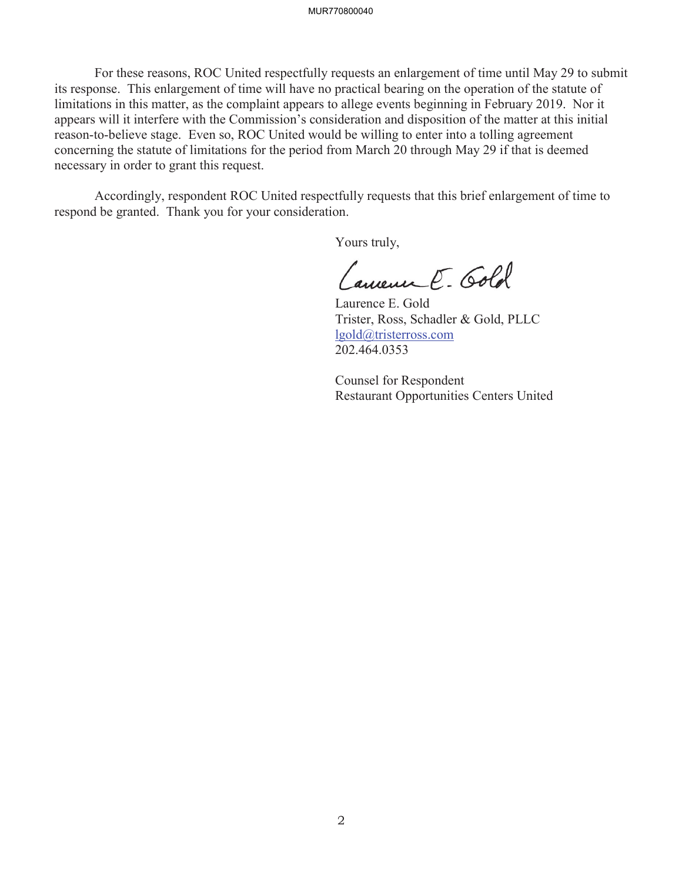For these reasons, ROC United respectfully requests an enlargement of time until May 29 to submit its response. This enlargement of time will have no practical bearing on the operation of the statute of limitations in this matter, as the complaint appears to allege events beginning in February 2019. Nor it appears will it interfere with the Commission's consideration and disposition of the matter at this initial reason-to-believe stage. Even so, ROC United would be willing to enter into a tolling agreement concerning the statute of limitations for the period from March 20 through May 29 if that is deemed necessary in order to grant this request.

Accordingly, respondent ROC United respectfully requests that this brief enlargement of time to respond be granted. Thank you for your consideration.

Yours truly,

Camenne E. Gold

Laurence E. Gold Trister, Ross, Schadler & Gold, PLLC lgold@tristerross.com 202.464.0353

Counsel for Respondent Restaurant Opportunities Centers United